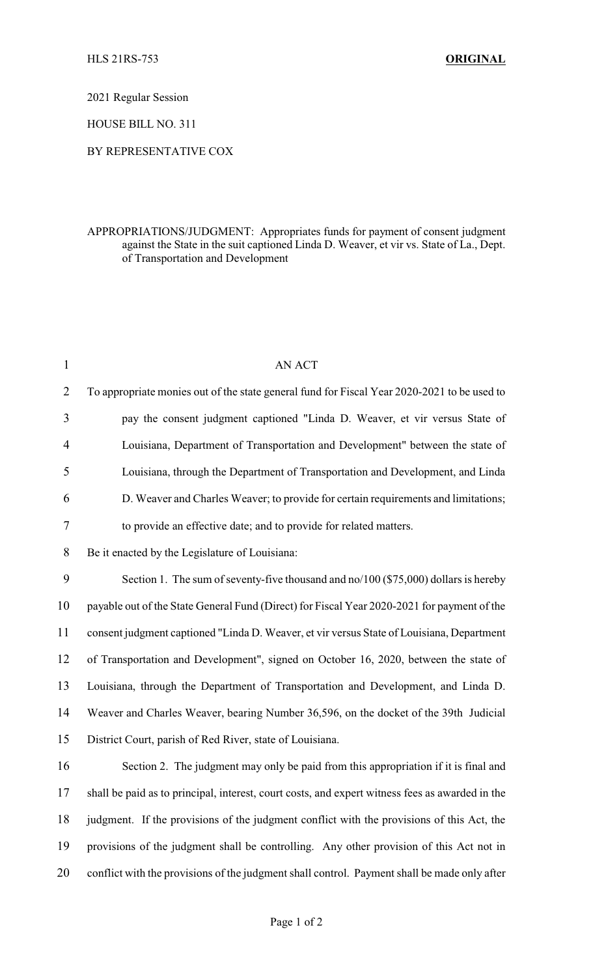2021 Regular Session

HOUSE BILL NO. 311

## BY REPRESENTATIVE COX

## APPROPRIATIONS/JUDGMENT: Appropriates funds for payment of consent judgment against the State in the suit captioned Linda D. Weaver, et vir vs. State of La., Dept. of Transportation and Development

| $\mathbf{1}$   | AN ACT                                                                                          |
|----------------|-------------------------------------------------------------------------------------------------|
| $\overline{2}$ | To appropriate monies out of the state general fund for Fiscal Year 2020-2021 to be used to     |
| 3              | pay the consent judgment captioned "Linda D. Weaver, et vir versus State of                     |
| 4              | Louisiana, Department of Transportation and Development" between the state of                   |
| 5              | Louisiana, through the Department of Transportation and Development, and Linda                  |
| 6              | D. Weaver and Charles Weaver; to provide for certain requirements and limitations;              |
| 7              | to provide an effective date; and to provide for related matters.                               |
| 8              | Be it enacted by the Legislature of Louisiana:                                                  |
| 9              | Section 1. The sum of seventy-five thousand and no/100 (\$75,000) dollars is hereby             |
| 10             | payable out of the State General Fund (Direct) for Fiscal Year 2020-2021 for payment of the     |
| 11             | consent judgment captioned "Linda D. Weaver, et vir versus State of Louisiana, Department       |
| 12             | of Transportation and Development", signed on October 16, 2020, between the state of            |
| 13             | Louisiana, through the Department of Transportation and Development, and Linda D.               |
| 14             | Weaver and Charles Weaver, bearing Number 36,596, on the docket of the 39th Judicial            |
| 15             | District Court, parish of Red River, state of Louisiana.                                        |
| 16             | Section 2. The judgment may only be paid from this appropriation if it is final and             |
| 17             | shall be paid as to principal, interest, court costs, and expert witness fees as awarded in the |
| 18             | judgment. If the provisions of the judgment conflict with the provisions of this Act, the       |
| 19             | provisions of the judgment shall be controlling. Any other provision of this Act not in         |
| 20             | conflict with the provisions of the judgment shall control. Payment shall be made only after    |